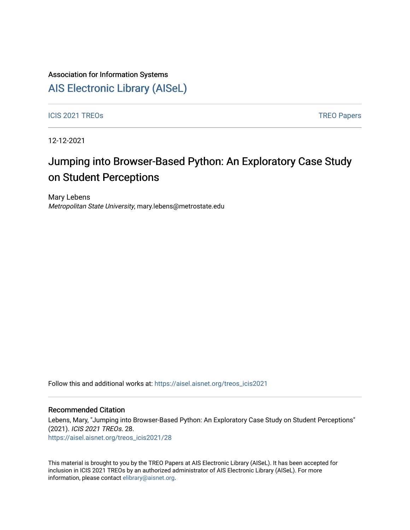## Association for Information Systems

## [AIS Electronic Library \(AISeL\)](https://aisel.aisnet.org/)

ICIS 2021 TREOS Notes that the contract of the contract of the contract of the contract of the contract of the contract of the contract of the contract of the contract of the contract of the contract of the contract of the

12-12-2021

# Jumping into Browser-Based Python: An Exploratory Case Study on Student Perceptions

Mary Lebens Metropolitan State University, mary.lebens@metrostate.edu

Follow this and additional works at: [https://aisel.aisnet.org/treos\\_icis2021](https://aisel.aisnet.org/treos_icis2021?utm_source=aisel.aisnet.org%2Ftreos_icis2021%2F28&utm_medium=PDF&utm_campaign=PDFCoverPages) 

#### Recommended Citation

Lebens, Mary, "Jumping into Browser-Based Python: An Exploratory Case Study on Student Perceptions" (2021). ICIS 2021 TREOs. 28. [https://aisel.aisnet.org/treos\\_icis2021/28](https://aisel.aisnet.org/treos_icis2021/28?utm_source=aisel.aisnet.org%2Ftreos_icis2021%2F28&utm_medium=PDF&utm_campaign=PDFCoverPages) 

This material is brought to you by the TREO Papers at AIS Electronic Library (AISeL). It has been accepted for inclusion in ICIS 2021 TREOs by an authorized administrator of AIS Electronic Library (AISeL). For more information, please contact [elibrary@aisnet.org.](mailto:elibrary@aisnet.org%3E)